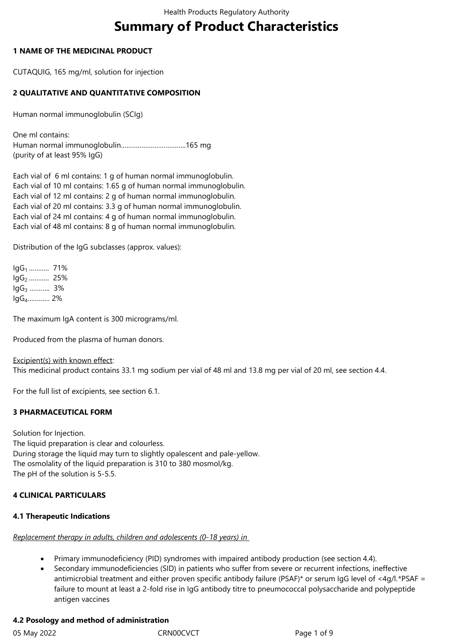# **Summary of Product Characteristics**

# **1 NAME OF THE MEDICINAL PRODUCT**

CUTAQUIG, 165 mg/ml, solution for injection

# **2 QUALITATIVE AND QUANTITATIVE COMPOSITION**

Human normal immunoglobulin (SCIg)

One ml contains: Human normal immunoglobulin……………………………..165 mg (purity of at least 95% IgG)

Each vial of 6 ml contains: 1 g of human normal immunoglobulin. Each vial of 10 ml contains: 1.65 g of human normal immunoglobulin. Each vial of 12 ml contains: 2 g of human normal immunoglobulin. Each vial of 20 ml contains: 3.3 g of human normal immunoglobulin. Each vial of 24 ml contains: 4 g of human normal immunoglobulin. Each vial of 48 ml contains: 8 g of human normal immunoglobulin.

Distribution of the IgG subclasses (approx. values):

IgG1 ……….. 71% lgG<sub>2</sub> ……….. 25% IgG3 ……….. 3% IgG4………… 2%

The maximum IgA content is 300 micrograms/ml.

Produced from the plasma of human donors.

Excipient(s) with known effect: This medicinal product contains 33.1 mg sodium per vial of 48 ml and 13.8 mg per vial of 20 ml, see section 4.4.

For the full list of excipients, see section 6.1.

# **3 PHARMACEUTICAL FORM**

Solution for Injection. The liquid preparation is clear and colourless. During storage the liquid may turn to slightly opalescent and pale-yellow. The osmolality of the liquid preparation is 310 to 380 mosmol/kg. The pH of the solution is 5-5.5.

#### **4 CLINICAL PARTICULARS**

#### **4.1 Therapeutic Indications**

*Replacement therapy in adults, children and adolescents (0-18 years) in* 

- Primary immunodeficiency (PID) syndromes with impaired antibody production (see section 4.4).
- Secondary immunodeficiencies (SID) in patients who suffer from severe or recurrent infections, ineffective antimicrobial treatment and either proven specific antibody failure (PSAF)\* or serum IgG level of <4g/l.\*PSAF = failure to mount at least a 2-fold rise in IgG antibody titre to pneumococcal polysaccharide and polypeptide antigen vaccines

# **4.2 Posology and method of administration**

05 May 2022 **CRNOOCVCT** CRNOOCVCT Page 1 of 9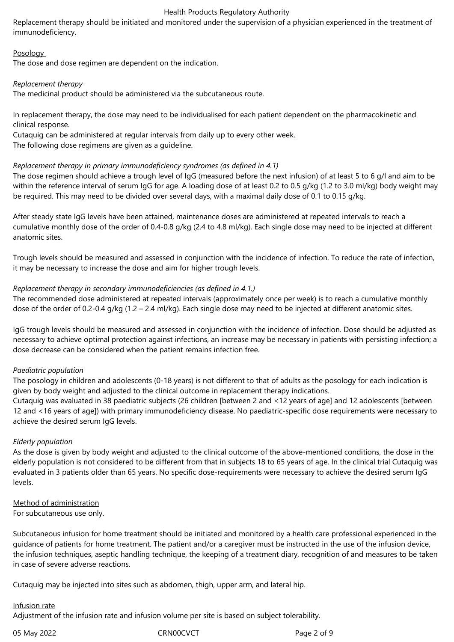Replacement therapy should be initiated and monitored under the supervision of a physician experienced in the treatment of immunodeficiency.

#### **Posology**

The dose and dose regimen are dependent on the indication.

#### *Replacement therapy*

The medicinal product should be administered via the subcutaneous route.

In replacement therapy, the dose may need to be individualised for each patient dependent on the pharmacokinetic and clinical response.

Cutaquig can be administered at regular intervals from daily up to every other week.

The following dose regimens are given as a guideline.

#### *Replacement therapy in primary immunodeficiency syndromes (as defined in 4.1)*

The dose regimen should achieve a trough level of IgG (measured before the next infusion) of at least 5 to 6 g/l and aim to be within the reference interval of serum IgG for age. A loading dose of at least 0.2 to 0.5 g/kg (1.2 to 3.0 ml/kg) body weight may be required. This may need to be divided over several days, with a maximal daily dose of 0.1 to 0.15 g/kg.

After steady state IgG levels have been attained, maintenance doses are administered at repeated intervals to reach a cumulative monthly dose of the order of 0.4-0.8 g/kg (2.4 to 4.8 ml/kg). Each single dose may need to be injected at different anatomic sites.

Trough levels should be measured and assessed in conjunction with the incidence of infection. To reduce the rate of infection, it may be necessary to increase the dose and aim for higher trough levels.

#### *Replacement therapy in secondary immunodeficiencies (as defined in 4.1.)*

The recommended dose administered at repeated intervals (approximately once per week) is to reach a cumulative monthly dose of the order of 0.2-0.4 g/kg (1.2 – 2.4 ml/kg). Each single dose may need to be injected at different anatomic sites.

IgG trough levels should be measured and assessed in conjunction with the incidence of infection. Dose should be adjusted as necessary to achieve optimal protection against infections, an increase may be necessary in patients with persisting infection; a dose decrease can be considered when the patient remains infection free.

#### *Paediatric population*

The posology in children and adolescents (0-18 years) is not different to that of adults as the posology for each indication is given by body weight and adjusted to the clinical outcome in replacement therapy indications.

Cutaquig was evaluated in 38 paediatric subjects (26 children [between 2 and <12 years of age] and 12 adolescents [between 12 and <16 years of age]) with primary immunodeficiency disease. No paediatric-specific dose requirements were necessary to achieve the desired serum IgG levels.

#### *Elderly population*

As the dose is given by body weight and adjusted to the clinical outcome of the above-mentioned conditions, the dose in the elderly population is not considered to be different from that in subjects 18 to 65 years of age. In the clinical trial Cutaquig was evaluated in 3 patients older than 65 years. No specific dose-requirements were necessary to achieve the desired serum IgG levels.

#### Method of administration

For subcutaneous use only.

Subcutaneous infusion for home treatment should be initiated and monitored by a health care professional experienced in the guidance of patients for home treatment. The patient and/or a caregiver must be instructed in the use of the infusion device, the infusion techniques, aseptic handling technique, the keeping of a treatment diary, recognition of and measures to be taken in case of severe adverse reactions.

Cutaquig may be injected into sites such as abdomen, thigh, upper arm, and lateral hip.

#### Infusion rate

Adjustment of the infusion rate and infusion volume per site is based on subject tolerability.

05 May 2022 CRN00CVCT CRNOCT Page 2 of 9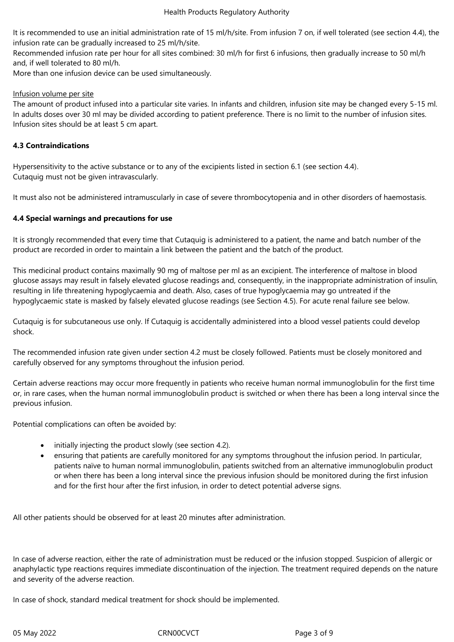It is recommended to use an initial administration rate of 15 ml/h/site. From infusion 7 on, if well tolerated (see section 4.4), the infusion rate can be gradually increased to 25 ml/h/site.

Recommended infusion rate per hour for all sites combined: 30 ml/h for first 6 infusions, then gradually increase to 50 ml/h and, if well tolerated to 80 ml/h.

More than one infusion device can be used simultaneously.

## Infusion volume per site

The amount of product infused into a particular site varies. In infants and children, infusion site may be changed every 5-15 ml. In adults doses over 30 ml may be divided according to patient preference. There is no limit to the number of infusion sites. Infusion sites should be at least 5 cm apart.

# **4.3 Contraindications**

Hypersensitivity to the active substance or to any of the excipients listed in section 6.1 (see section 4.4)*.*  Cutaquig must not be given intravascularly.

It must also not be administered intramuscularly in case of severe thrombocytopenia and in other disorders of haemostasis.

# **4.4 Special warnings and precautions for use**

It is strongly recommended that every time that Cutaquig is administered to a patient, the name and batch number of the product are recorded in order to maintain a link between the patient and the batch of the product.

This medicinal product contains maximally 90 mg of maltose per ml as an excipient. The interference of maltose in blood glucose assays may result in falsely elevated glucose readings and, consequently, in the inappropriate administration of insulin, resulting in life threatening hypoglycaemia and death. Also, cases of true hypoglycaemia may go untreated if the hypoglycaemic state is masked by falsely elevated glucose readings (see Section 4.5). For acute renal failure see below.

Cutaquig is for subcutaneous use only. If Cutaquig is accidentally administered into a blood vessel patients could develop shock.

The recommended infusion rate given under section 4.2 must be closely followed. Patients must be closely monitored and carefully observed for any symptoms throughout the infusion period.

Certain adverse reactions may occur more frequently in patients who receive human normal immunoglobulin for the first time or, in rare cases, when the human normal immunoglobulin product is switched or when there has been a long interval since the previous infusion.

Potential complications can often be avoided by:

- initially injecting the product slowly (see section 4.2).
- ensuring that patients are carefully monitored for any symptoms throughout the infusion period. In particular, patients naïve to human normal immunoglobulin, patients switched from an alternative immunoglobulin product or when there has been a long interval since the previous infusion should be monitored during the first infusion and for the first hour after the first infusion, in order to detect potential adverse signs.

All other patients should be observed for at least 20 minutes after administration.

In case of adverse reaction, either the rate of administration must be reduced or the infusion stopped. Suspicion of allergic or anaphylactic type reactions requires immediate discontinuation of the injection. The treatment required depends on the nature and severity of the adverse reaction.

In case of shock, standard medical treatment for shock should be implemented.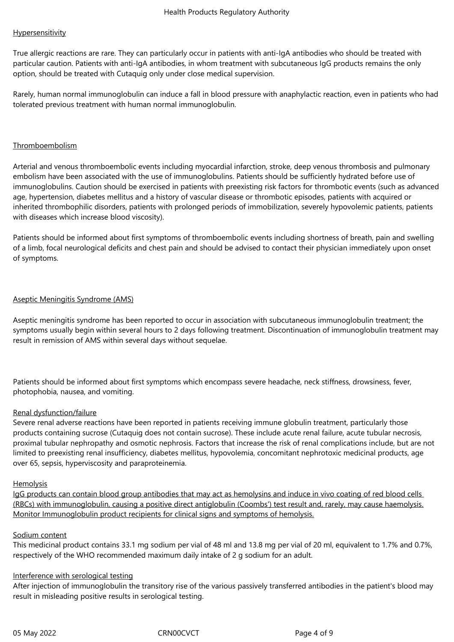## **Hypersensitivity**

True allergic reactions are rare. They can particularly occur in patients with anti-IgA antibodies who should be treated with particular caution. Patients with anti-IgA antibodies, in whom treatment with subcutaneous IgG products remains the only option, should be treated with Cutaquig only under close medical supervision.

Rarely, human normal immunoglobulin can induce a fall in blood pressure with anaphylactic reaction, even in patients who had tolerated previous treatment with human normal immunoglobulin.

## Thromboembolism

Arterial and venous thromboembolic events including myocardial infarction, stroke, deep venous thrombosis and pulmonary embolism have been associated with the use of immunoglobulins. Patients should be sufficiently hydrated before use of immunoglobulins. Caution should be exercised in patients with preexisting risk factors for thrombotic events (such as advanced age, hypertension, diabetes mellitus and a history of vascular disease or thrombotic episodes, patients with acquired or inherited thrombophilic disorders, patients with prolonged periods of immobilization, severely hypovolemic patients, patients with diseases which increase blood viscosity).

Patients should be informed about first symptoms of thromboembolic events including shortness of breath, pain and swelling of a limb, focal neurological deficits and chest pain and should be advised to contact their physician immediately upon onset of symptoms.

#### Aseptic Meningitis Syndrome (AMS)

Aseptic meningitis syndrome has been reported to occur in association with subcutaneous immunoglobulin treatment; the symptoms usually begin within several hours to 2 days following treatment. Discontinuation of immunoglobulin treatment may result in remission of AMS within several days without sequelae.

Patients should be informed about first symptoms which encompass severe headache, neck stiffness, drowsiness, fever, photophobia, nausea, and vomiting.

#### Renal dysfunction/failure

Severe renal adverse reactions have been reported in patients receiving immune globulin treatment, particularly those products containing sucrose (Cutaquig does not contain sucrose). These include acute renal failure, acute tubular necrosis, proximal tubular nephropathy and osmotic nephrosis. Factors that increase the risk of renal complications include, but are not limited to preexisting renal insufficiency, diabetes mellitus, hypovolemia, concomitant nephrotoxic medicinal products, age over 65, sepsis, hyperviscosity and paraproteinemia.

#### Hemolysis

IgG products can contain blood group antibodies that may act as hemolysins and induce in vivo coating of red blood cells (RBCs) with immunoglobulin, causing a positive direct antiglobulin (Coombs') test result and, rarely, may cause haemolysis. Monitor Immunoglobulin product recipients for clinical signs and symptoms of hemolysis.

#### Sodium content

This medicinal product contains 33.1 mg sodium per vial of 48 ml and 13.8 mg per vial of 20 ml, equivalent to 1.7% and 0.7%, respectively of the WHO recommended maximum daily intake of 2 g sodium for an adult.

#### Interference with serological testing

After injection of immunoglobulin the transitory rise of the various passively transferred antibodies in the patient's blood may result in misleading positive results in serological testing.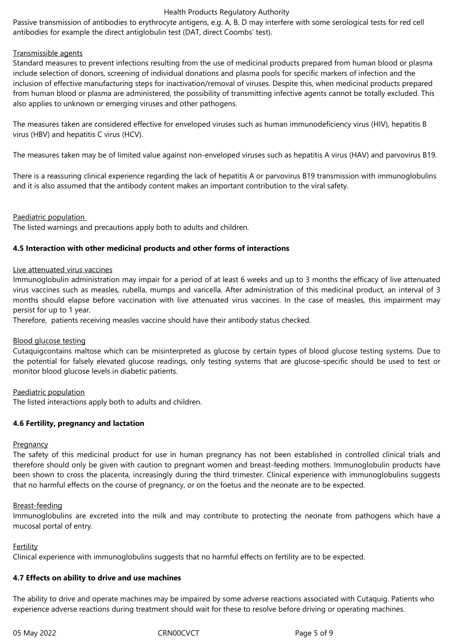Passive transmission of antibodies to erythrocyte antigens, e.g. A, B, D may interfere with some serological tests for red cell antibodies for example the direct antiglobulin test (DAT, direct Coombs' test).

## Transmissible agents

Standard measures to prevent infections resulting from the use of medicinal products prepared from human blood or plasma include selection of donors, screening of individual donations and plasma pools for specific markers of infection and the inclusion of effective manufacturing steps for inactivation/removal of viruses. Despite this, when medicinal products prepared from human blood or plasma are administered, the possibility of transmitting infective agents cannot be totally excluded. This also applies to unknown or emerging viruses and other pathogens.

The measures taken are considered effective for enveloped viruses such as human immunodeficiency virus (HIV), hepatitis B virus (HBV) and hepatitis C virus (HCV).

The measures taken may be of limited value against non-enveloped viruses such as hepatitis A virus (HAV) and parvovirus B19.

There is a reassuring clinical experience regarding the lack of hepatitis A or parvovirus B19 transmission with immunoglobulins and it is also assumed that the antibody content makes an important contribution to the viral safety.

#### Paediatric population

The listed warnings and precautions apply both to adults and children.

## **4.5 Interaction with other medicinal products and other forms of interactions**

#### Live attenuated virus vaccines

Immunoglobulin administration may impair for a period of at least 6 weeks and up to 3 months the efficacy of live attenuated virus vaccines such as measles*,* rubella, mumps and varicella. After administration of this medicinal product, an interval of 3 months should elapse before vaccination with live attenuated virus vaccines. In the case of measles, this impairment may persist for up to 1 year.

Therefore, patients receiving measles vaccine should have their antibody status checked.

#### Blood glucose testing

Cutaquigcontains maltose which can be misinterpreted as glucose by certain types of blood glucose testing systems. Due to the potential for falsely elevated glucose readings, only testing systems that are glucose-specific should be used to test or monitor blood glucose levels in diabetic patients.

#### Paediatric population

The listed interactions apply both to adults and children.

# **4.6 Fertility, pregnancy and lactation**

#### **Pregnancy**

The safety of this medicinal product for use in human pregnancy has not been established in controlled clinical trials and therefore should only be given with caution to pregnant women and breast-feeding mothers. Immunoglobulin products have been shown to cross the placenta, increasingly during the third trimester. Clinical experience with immunoglobulins suggests that no harmful effects on the course of pregnancy, or on the foetus and the neonate are to be expected.

#### Breast-feeding

Immunoglobulins are excreted into the milk and may contribute to protecting the neonate from pathogens which have a mucosal portal of entry.

#### Fertility

Clinical experience with immunoglobulins suggests that no harmful effects on fertility are to be expected.

#### **4.7 Effects on ability to drive and use machines**

The ability to drive and operate machines may be impaired by some adverse reactions associated with Cutaquig. Patients who experience adverse reactions during treatment should wait for these to resolve before driving or operating machines.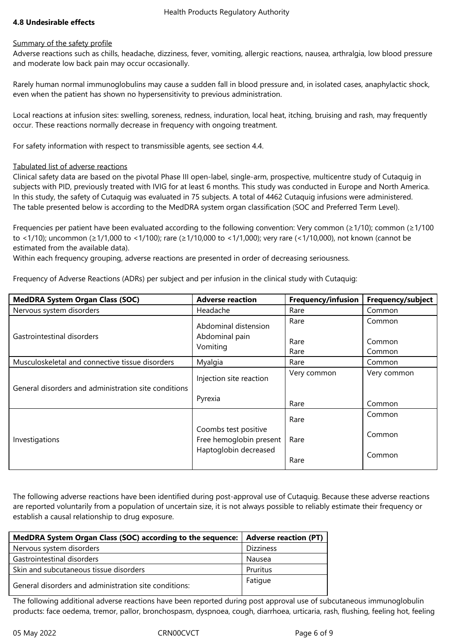# **4.8 Undesirable effects**

#### Summary of the safety profile

Adverse reactions such as chills, headache, dizziness, fever, vomiting, allergic reactions, nausea, arthralgia, low blood pressure and moderate low back pain may occur occasionally.

Rarely human normal immunoglobulins may cause a sudden fall in blood pressure and, in isolated cases, anaphylactic shock, even when the patient has shown no hypersensitivity to previous administration.

Local reactions at infusion sites: swelling, soreness, redness, induration, local heat, itching, bruising and rash, may frequently occur. These reactions normally decrease in frequency with ongoing treatment.

For safety information with respect to transmissible agents, see section 4.4.

## Tabulated list of adverse reactions

Clinical safety data are based on the pivotal Phase III open-label, single-arm, prospective, multicentre study of Cutaquig in subjects with PID, previously treated with IVIG for at least 6 months. This study was conducted in Europe and North America. In this study, the safety of Cutaquig was evaluated in 75 subjects. A total of 4462 Cutaquig infusions were administered. The table presented below is according to the MedDRA system organ classification (SOC and Preferred Term Level).

Frequencies per patient have been evaluated according to the following convention: Very common (≥1/10); common (≥1/100 to <1/10); uncommon (≥1/1,000 to <1/100); rare (≥1/10,000 to <1/1,000); very rare (<1/10,000), not known (cannot be estimated from the available data).

Within each frequency grouping, adverse reactions are presented in order of decreasing seriousness.

Frequency of Adverse Reactions (ADRs) per subject and per infusion in the clinical study with Cutaquig:

| <b>MedDRA System Organ Class (SOC)</b>               | <b>Adverse reaction</b> | Frequency/infusion | Frequency/subject |
|------------------------------------------------------|-------------------------|--------------------|-------------------|
| Nervous system disorders                             | Headache                | Rare               | Common            |
| Gastrointestinal disorders                           | Abdominal distension    | Rare               | Common            |
|                                                      | Abdominal pain          | Rare               | Common            |
|                                                      | Vomiting                | Rare               | Common            |
| Musculoskeletal and connective tissue disorders      | Myalgia                 | Rare               | Common            |
| General disorders and administration site conditions | Injection site reaction | Very common        | Very common       |
|                                                      | Pyrexia                 | Rare               | Common            |
| Investigations                                       | Coombs test positive    | Rare               | Common            |
|                                                      | Free hemoglobin present | Rare               | Common            |
|                                                      | Haptoglobin decreased   | Rare               | Common            |

The following adverse reactions have been identified during post-approval use of Cutaquig. Because these adverse reactions are reported voluntarily from a population of uncertain size, it is not always possible to reliably estimate their frequency or establish a causal relationship to drug exposure.

| MedDRA System Organ Class (SOC) according to the sequence:   Adverse reaction (PT) |                  |
|------------------------------------------------------------------------------------|------------------|
| Nervous system disorders                                                           | <b>Dizziness</b> |
| Gastrointestinal disorders                                                         | Nausea           |
| Skin and subcutaneous tissue disorders                                             | Pruritus         |
| General disorders and administration site conditions:                              | Fatigue          |

The following additional adverse reactions have been reported during post approval use of subcutaneous immunoglobulin products: face oedema, tremor, pallor, bronchospasm, dyspnoea, cough, diarrhoea, urticaria, rash, flushing, feeling hot, feeling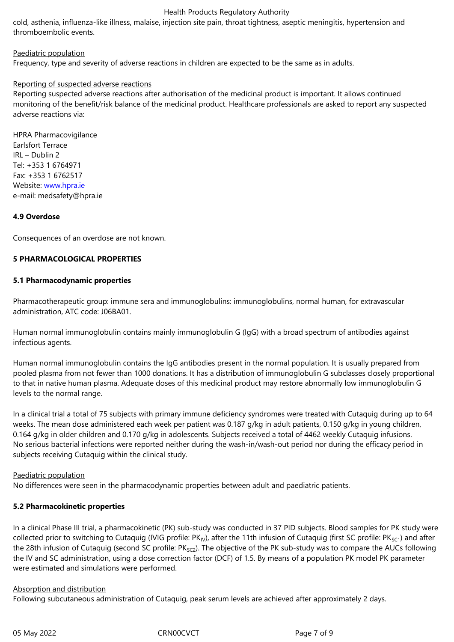## Paediatric population

Frequency, type and severity of adverse reactions in children are expected to be the same as in adults.

## Reporting of suspected adverse reactions

Reporting suspected adverse reactions after authorisation of the medicinal product is important. It allows continued monitoring of the benefit/risk balance of the medicinal product. Healthcare professionals are asked to report any suspected adverse reactions via:

HPRA Pharmacovigilance Earlsfort Terrace IRL – Dublin 2 Tel: +353 1 6764971 Fax: +353 1 6762517 Website: www.hpra.ie e-mail: medsafety@hpra.ie

#### **4.9 Over[dose](http://www.hpra.ie/)**

Consequences of an overdose are not known.

## **5 PHARMACOLOGICAL PROPERTIES**

#### **5.1 Pharmacodynamic properties**

Pharmacotherapeutic group: immune sera and immunoglobulins: immunoglobulins, normal human, for extravascular administration, ATC code: J06BA01.

Human normal immunoglobulin contains mainly immunoglobulin G (IgG) with a broad spectrum of antibodies against infectious agents.

Human normal immunoglobulin contains the IgG antibodies present in the normal population. It is usually prepared from pooled plasma from not fewer than 1000 donations. It has a distribution of immunoglobulin G subclasses closely proportional to that in native human plasma. Adequate doses of this medicinal product may restore abnormally low immunoglobulin G levels to the normal range.

In a clinical trial a total of 75 subjects with primary immune deficiency syndromes were treated with Cutaquig during up to 64 weeks. The mean dose administered each week per patient was 0.187 g/kg in adult patients, 0.150 g/kg in young children, 0.164 g/kg in older children and 0.170 g/kg in adolescents. Subjects received a total of 4462 weekly Cutaquig infusions. No serious bacterial infections were reported neither during the wash-in/wash-out period nor during the efficacy period in subjects receiving Cutaquig within the clinical study.

#### Paediatric population

No differences were seen in the pharmacodynamic properties between adult and paediatric patients.

#### **5.2 Pharmacokinetic properties**

In a clinical Phase III trial, a pharmacokinetic (PK) sub-study was conducted in 37 PID subjects. Blood samples for PK study were collected prior to switching to Cutaquig (IVIG profile: PK<sub>IV</sub>), after the 11th infusion of Cutaquig (first SC profile: PK<sub>SC1</sub>) and after the 28th infusion of Cutaquig (second SC profile: PK<sub>SC2</sub>). The objective of the PK sub-study was to compare the AUCs following the IV and SC administration, using a dose correction factor (DCF) of 1.5. By means of a population PK model PK parameter were estimated and simulations were performed.

#### Absorption and distribution

Following subcutaneous administration of Cutaquig, peak serum levels are achieved after approximately 2 days.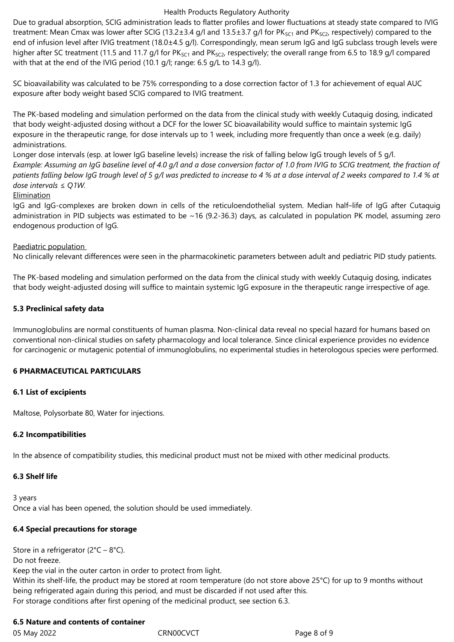Due to gradual absorption, SCIG administration leads to flatter profiles and lower fluctuations at steady state compared to IVIG treatment: Mean Cmax was lower after SCIG (13.2±3.4 g/l and 13.5±3.7 g/l for PK<sub>SC1</sub> and PK<sub>SC2</sub>, respectively) compared to the end of infusion level after IVIG treatment (18.0±4.5 g/l). Correspondingly, mean serum IgG and IgG subclass trough levels were higher after SC treatment (11.5 and 11.7 g/l for  $PK_{SC1}$  and  $PK_{SC2}$ , respectively; the overall range from 6.5 to 18.9 g/l compared with that at the end of the IVIG period (10.1 g/l; range: 6.5 g/L to 14.3 g/l).

SC bioavailability was calculated to be 75% corresponding to a dose correction factor of 1.3 for achievement of equal AUC exposure after body weight based SCIG compared to IVIG treatment.

The PK-based modeling and simulation performed on the data from the clinical study with weekly Cutaquig dosing, indicated that body weight-adjusted dosing without a DCF for the lower SC bioavailability would suffice to maintain systemic IgG exposure in the therapeutic range, for dose intervals up to 1 week, including more frequently than once a week (e.g. daily) administrations.

Longer dose intervals (esp. at lower IgG baseline levels) increase the risk of falling below IgG trough levels of 5 g/l. *Example: Assuming an IgG baseline level of 4.0 g/l and a dose conversion factor of 1.0 from IVIG to SCIG treatment, the fraction of patients falling below IgG trough level of 5 g/l was predicted to increase to 4 % at a dose interval of 2 weeks compared to 1.4 % at dose intervals ≤ Q1W.*

#### **Elimination**

IgG and IgG-complexes are broken down in cells of the reticuloendothelial system. Median half–life of IgG after Cutaquig administration in PID subjects was estimated to be  $\sim$  16 (9.2-36.3) days, as calculated in population PK model, assuming zero endogenous production of IgG.

## Paediatric population

No clinically relevant differences were seen in the pharmacokinetic parameters between adult and pediatric PID study patients.

The PK-based modeling and simulation performed on the data from the clinical study with weekly Cutaquig dosing, indicates that body weight-adjusted dosing will suffice to maintain systemic IgG exposure in the therapeutic range irrespective of age.

## **5.3 Preclinical safety data**

Immunoglobulins are normal constituents of human plasma. Non-clinical data reveal no special hazard for humans based on conventional non-clinical studies on safety pharmacology and local tolerance. Since clinical experience provides no evidence for carcinogenic or mutagenic potential of immunoglobulins, no experimental studies in heterologous species were performed.

# **6 PHARMACEUTICAL PARTICULARS**

# **6.1 List of excipients**

Maltose, Polysorbate 80, Water for injections.

#### **6.2 Incompatibilities**

In the absence of compatibility studies, this medicinal product must not be mixed with other medicinal products.

# **6.3 Shelf life**

3 years Once a vial has been opened, the solution should be used immediately.

# **6.4 Special precautions for storage**

Store in a refrigerator (2°C – 8°C). Do not freeze. Keep the vial in the outer carton in order to protect from light. Within its shelf-life, the product may be stored at room temperature (do not store above 25°C) for up to 9 months without being refrigerated again during this period, and must be discarded if not used after this. For storage conditions after first opening of the medicinal product, see section 6.3.

# **6.5 Nature and contents of container**

05 May 2022 CRN00CVCT CRNOCT Page 8 of 9